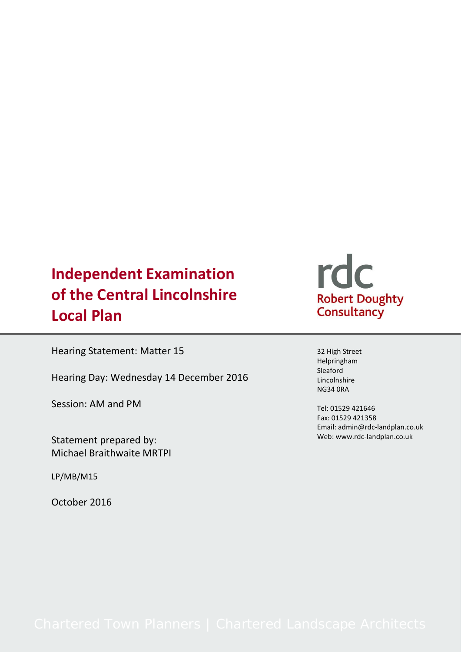# **Independent Examination of the Central Lincolnshire Local Plan**

Hearing Statement: Matter 15

Hearing Day: Wednesday 14 December 2016

Session: AM and PM

Statement prepared by: Michael Braithwaite MRTPI

LP/MB/M15

October 2016



32 High Street Helpringham Sleaford Lincolnshire NG34 0RA

Tel: 01529 421646 Fax: 01529 421358 Email: admin@rdc-landplan.co.uk Web: www.rdc-landplan.co.uk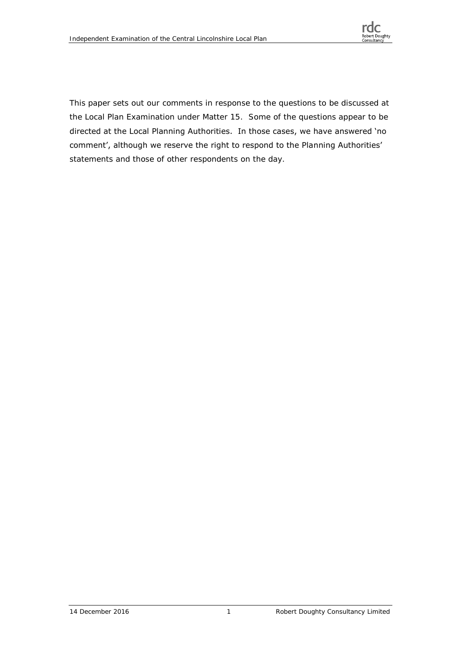

This paper sets out our comments in response to the questions to be discussed at the Local Plan Examination under Matter 15. Some of the questions appear to be directed at the Local Planning Authorities. In those cases, we have answered 'no comment', although we reserve the right to respond to the Planning Authorities' statements and those of other respondents on the day.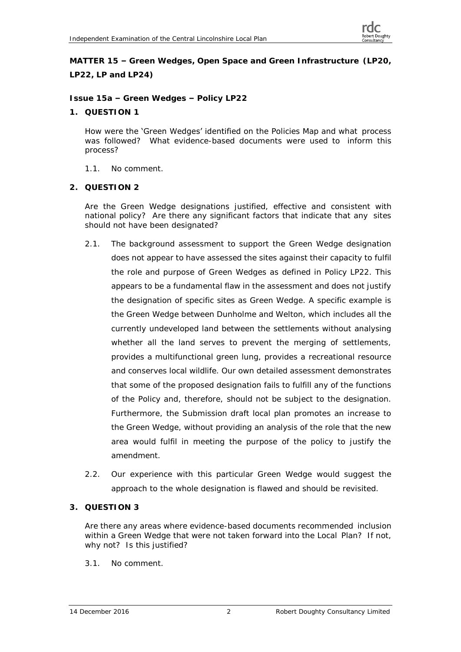**MATTER 15 – Green Wedges, Open Space and Green Infrastructure (LP20, LP22, LP and LP24)**

**Issue 15a – Green Wedges – Policy LP22**

**1. QUESTION 1**

How were the 'Green Wedges' identified on the Policies Map and what process was followed? What evidence-based documents were used to inform this process?

- 1.1. No comment.
- **2. QUESTION 2**

Are the Green Wedge designations justified, effective and consistent with national policy? Are there any significant factors that indicate that any sites should not have been designated?

- 2.1. The background assessment to support the Green Wedge designation does not appear to have assessed the sites against their capacity to fulfil the role and purpose of Green Wedges as defined in Policy LP22. This appears to be a fundamental flaw in the assessment and does not justify the designation of specific sites as Green Wedge. A specific example is the Green Wedge between Dunholme and Welton, which includes all the currently undeveloped land between the settlements without analysing whether all the land serves to prevent the merging of settlements, provides a multifunctional green lung, provides a recreational resource and conserves local wildlife. Our own detailed assessment demonstrates that some of the proposed designation fails to fulfill any of the functions of the Policy and, therefore, should not be subject to the designation. Furthermore, the Submission draft local plan promotes an increase to the Green Wedge, without providing an analysis of the role that the new area would fulfil in meeting the purpose of the policy to justify the amendment.
- 2.2. Our experience with this particular Green Wedge would suggest the approach to the whole designation is flawed and should be revisited.
- **3. QUESTION 3**

Are there any areas where evidence-based documents recommended inclusion within a Green Wedge that were not taken forward into the Local Plan? If not, why not? Is this justified?

3.1. No comment.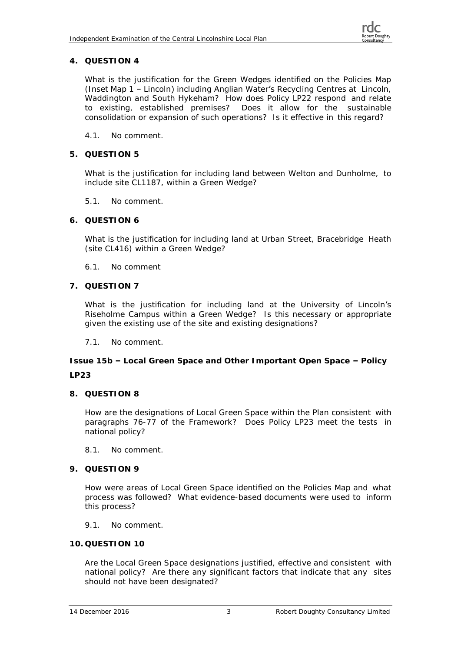# **4. QUESTION 4**

What is the justification for the Green Wedges identified on the Policies Map (Inset Map 1 – Lincoln) including Anglian Water's Recycling Centres at Lincoln, Waddington and South Hykeham? How does Policy LP22 respond and relate to existing, established premises? Does it allow for the sustainable consolidation or expansion of such operations? Is it effective in this regard?

- 4.1. No comment.
- **5. QUESTION 5**

What is the justification for including land between Welton and Dunholme, to include site CL1187, within a Green Wedge?

- 5.1. No comment.
- **6. QUESTION 6**

What is the justification for including land at Urban Street, Bracebridge Heath (site CL416) within a Green Wedge?

- 6.1. No comment
- **7. QUESTION 7**

What is the justification for including land at the University of Lincoln's Riseholme Campus within a Green Wedge? Is this necessary or appropriate given the existing use of the site and existing designations?

7.1. No comment.

**Issue 15b – Local Green Space and Other Important Open Space – Policy LP23**

**8. QUESTION 8**

How are the designations of Local Green Space within the Plan consistent with paragraphs 76-77 of the Framework? Does Policy LP23 meet the tests in national policy?

- 8.1. No comment.
- **9. QUESTION 9**

How were areas of Local Green Space identified on the Policies Map and what process was followed? What evidence-based documents were used to inform this process?

9.1. No comment.

## **10. QUESTION 10**

Are the Local Green Space designations justified, effective and consistent with national policy? Are there any significant factors that indicate that any sites should not have been designated?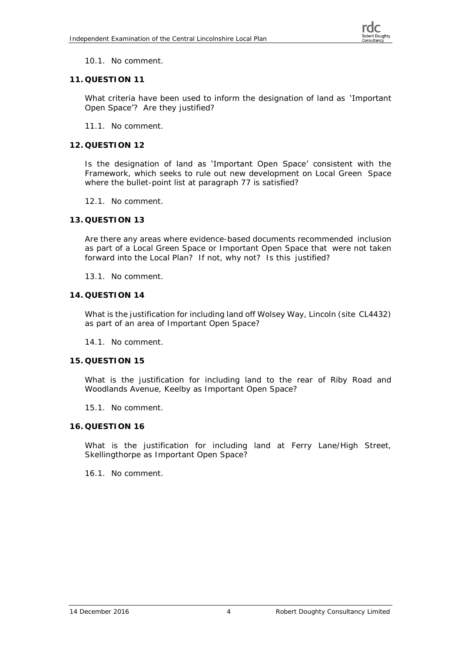

# 10.1. No comment.

# **11. QUESTION 11**

What criteria have been used to inform the designation of land as **'Important** Open Space<sup>'</sup>? Are they justified?

11.1. No comment.

# **12. QUESTION 12**

Is the designation of land as 'Important Open Space' consistent with the Framework, which seeks to rule out new development on Local Green Space where the bullet-point list at paragraph 77 is satisfied?

- 12.1. No comment.
- **13. QUESTION 13**

Are there any areas where evidence-based documents recommended inclusion as part of a Local Green Space or Important Open Space that were not taken forward into the Local Plan? If not, why not? Is this justified?

- 13.1. No comment.
- **14. QUESTION 14**

What is the justification for including land off Wolsey Way, Lincoln (site CL4432) as part of an area of Important Open Space?

14.1. No comment.

## **15. QUESTION 15**

What is the justification for including land to the rear of Riby Road and Woodlands Avenue, Keelby as Important Open Space?

15.1. No comment.

## **16. QUESTION 16**

What is the justification for including land at Ferry Lane/High Street, Skellingthorpe as Important Open Space?

16.1. No comment.